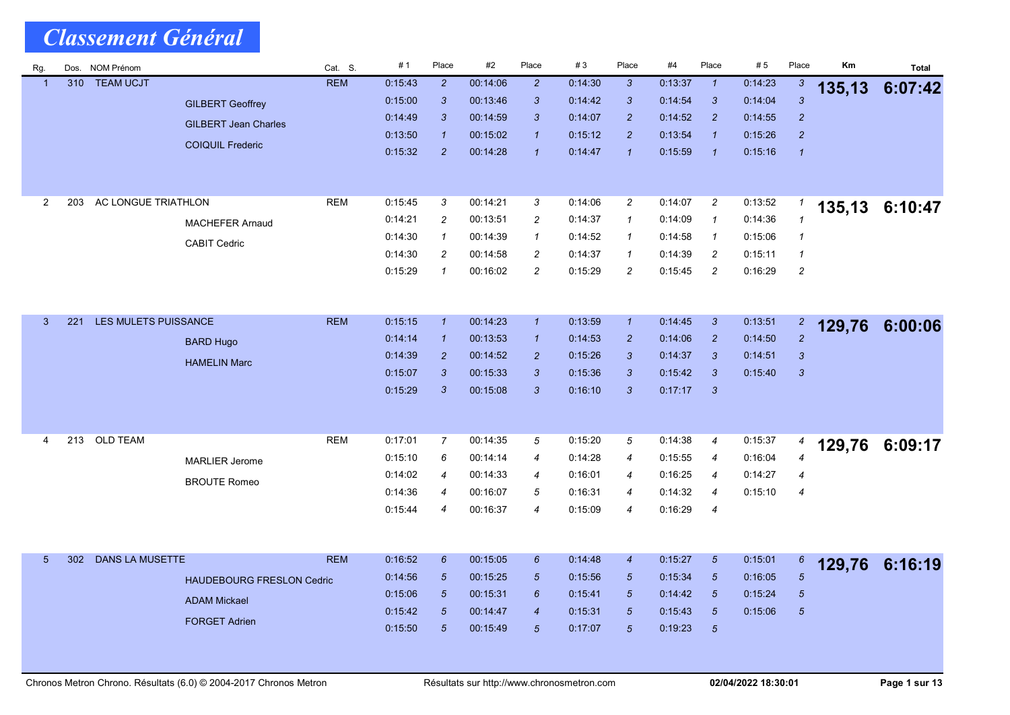| Rg.             | Dos. | <b>NOM Prénom</b>      |                                  | Cat. S.    | #1      | Place                     | #2       | Place            | #3                 | Place          | #4                 | Place            | # 5     | Place             | Km     | <b>Total</b>   |
|-----------------|------|------------------------|----------------------------------|------------|---------|---------------------------|----------|------------------|--------------------|----------------|--------------------|------------------|---------|-------------------|--------|----------------|
| $\overline{1}$  | 310  | <b>TEAM UCJT</b>       |                                  | <b>REM</b> | 0:15:43 | $\overline{2}$            | 00:14:06 | $\overline{2}$   | 0:14:30            | $\mathbf{3}$   | 0:13:37            | $\mathbf{1}$     | 0:14:23 | $\mathbf{3}$      | 135,13 | 6:07:42        |
|                 |      |                        | <b>GILBERT Geoffrey</b>          |            | 0:15:00 | $\ensuremath{\mathsf{3}}$ | 00:13:46 | 3                | 0:14:42            | $\mathbf{3}$   | 0:14:54            | 3                | 0.14.04 | $\overline{3}$    |        |                |
|                 |      |                        | <b>GILBERT Jean Charles</b>      |            | 0:14:49 | 3                         | 00:14:59 | 3                | 0.14.07            | $\overline{2}$ | 0.14.52            | $\overline{c}$   | 0:14:55 | $\overline{2}$    |        |                |
|                 |      |                        | <b>COIQUIL Frederic</b>          |            | 0.13:50 | $\overline{1}$            | 00 15:02 | $\overline{1}$   | 0.15.12            | $\overline{2}$ | 0.13.54            | $\mathbf{1}$     | 0:15:26 | $\overline{2}$    |        |                |
|                 |      |                        |                                  |            | 0:15:32 | $\overline{2}$            | 00:14:28 | $\overline{1}$   | 0:14:47            | $\overline{1}$ | 0:15:59            | $\overline{1}$   | 0:15:16 | $\overline{1}$    |        |                |
| $\overline{2}$  | 203  | AC LONGUE TRIATHLON    |                                  | <b>REM</b> | 0:15:45 | 3                         | 00:14:21 | 3                | 0:14:06            | $\overline{c}$ | 0:14:07            | $\overline{c}$   | 0:13:52 |                   |        |                |
|                 |      |                        |                                  |            | 0.14.21 | $\overline{c}$            | 00:13:51 | $\overline{c}$   | 0:14:37            | $\mathcal{I}$  | 0:14:09            | $\mathbf{1}$     | 0:14:36 | 1<br>$\mathbf{1}$ |        | 135,13 6:10:47 |
|                 |      |                        | <b>MACHEFER Arnaud</b>           |            | 0:14:30 | $\mathbf{1}$              | 00:14:39 | $\mathcal I$     |                    | $\mathcal{I}$  |                    | $\mathbf{1}$     | 0.15.06 | $\mathcal I$      |        |                |
|                 |      |                        | <b>CABIT Cedric</b>              |            | 0:14:30 | $\overline{c}$            | 00:14:58 | $\overline{c}$   | 0:14:52<br>0:14:37 | $\mathcal I$   | 0.14.58<br>0.14.39 | $\overline{c}$   | 0:15:11 | $\mathbf{1}$      |        |                |
|                 |      |                        |                                  |            | 0.15.29 | $\mathbf{1}$              | 00:16:02 | $\overline{c}$   | 0:15:29            | $\overline{c}$ | 0:15:45            | $\overline{c}$   | 0.16.29 | $\overline{c}$    |        |                |
|                 |      |                        |                                  |            |         |                           |          |                  |                    |                |                    |                  |         |                   |        |                |
|                 |      |                        |                                  |            |         |                           |          |                  |                    |                |                    |                  |         |                   |        |                |
| $\mathbf{3}$    | 221  | LES MULETS PUISSANCE   |                                  | <b>REM</b> | 0:15:15 | $\mathbf{1}$              | 00:14:23 | $\overline{1}$   | 0:13:59            | $\overline{1}$ | 0:14:45            | $\mathbf{3}$     | 0.13.51 | $\overline{2}$    | 129,76 | 6:00:06        |
|                 |      |                        | <b>BARD Hugo</b>                 |            | 0:14:14 | $\mathbf{1}$              | 00:13:53 | $\overline{1}$   | 0:14:53            | $\overline{2}$ | 0:14:06            | $\overline{2}$   | 0:14:50 | $\overline{2}$    |        |                |
|                 |      |                        | <b>HAMELIN Marc</b>              |            | 0:14:39 | $\overline{2}$            | 00:14:52 | $\overline{c}$   | 0:15:26            | $\mathbf{3}$   | 0:14:37            | 3                | 0:14:51 | $\mathbf{3}$      |        |                |
|                 |      |                        |                                  |            | 0.15.07 | 3                         | 00 15:33 | 3                | 0:15:36            | $\mathbf{3}$   | 0.15.42            | 3                | 0:15:40 | $\mathbf{3}$      |        |                |
|                 |      |                        |                                  |            | 0:15:29 | $\mathbf{3}$              | 00 15:08 | $\mathbf{3}$     | 0:16:10            | $\mathbf{3}$   | 0:17:17            | $\mathbf{3}$     |         |                   |        |                |
|                 |      |                        |                                  |            |         |                           |          |                  |                    |                |                    |                  |         |                   |        |                |
|                 |      |                        |                                  |            |         |                           |          |                  |                    |                |                    |                  |         |                   |        |                |
| 4               | 213  | <b>OLD TEAM</b>        |                                  | <b>REM</b> | 0:17:01 | $\overline{7}$            | 00:14:35 | 5                | 0:15:20            | 5              | 0:14:38            | 4                | 0:15:37 | 4                 |        | 129,76 6:09:17 |
|                 |      |                        | <b>MARLIER Jerome</b>            |            | 0:15:10 | 6                         | 00:14:14 | $\overline{4}$   | 0:14:28            | $\overline{4}$ | 0:15:55            | $\boldsymbol{4}$ | 0:16:04 | $\overline{4}$    |        |                |
|                 |      |                        | <b>BROUTE Romeo</b>              |            | 0:14:02 | 4                         | 00:14:33 | $\overline{4}$   | 0.16.01            | 4              | 0.16.25            | $\boldsymbol{4}$ | 0:14.27 | $\overline{4}$    |        |                |
|                 |      |                        |                                  |            | 0:14:36 | $\overline{4}$            | 00:16:07 | 5                | 0.16.31            | $\overline{4}$ | 0:14:32            | $\overline{4}$   | 0:15:10 | $\overline{4}$    |        |                |
|                 |      |                        |                                  |            | 0:15:44 | 4                         | 00:16:37 | $\overline{4}$   | 0:15:09            | $\overline{4}$ | 0:16:29            | $\boldsymbol{4}$ |         |                   |        |                |
|                 |      |                        |                                  |            |         |                           |          |                  |                    |                |                    |                  |         |                   |        |                |
| $5\overline{)}$ | 302  | <b>DANS LA MUSETTE</b> |                                  | <b>REM</b> | 0:16:52 | 6                         | 00:15:05 | $6\overline{6}$  | 0.14.48            | $\overline{4}$ | 0.15.27            | $\sqrt{5}$       | 0:15:01 | $6\phantom{.}6$   |        | 6:16:19        |
|                 |      |                        | <b>HAUDEBOURG FRESLON Cedric</b> |            | 0:14:56 | $\sqrt{5}$                | 00:15:25 | $5\overline{5}$  | 0.15.56            | $\overline{5}$ | 0.15.34            | $\sqrt{5}$       | 0.16.05 | $\overline{5}$    | 129,76 |                |
|                 |      |                        |                                  |            | 0.15:06 | $\sqrt{5}$                | 00:15:31 | $\boldsymbol{6}$ | 0:15:41            | $\sqrt{5}$     | 0.14.42            | $5\overline{)}$  | 0:15:24 | $\overline{5}$    |        |                |
|                 |      |                        | <b>ADAM Mickael</b>              |            | 0.15.42 | $\sqrt{5}$                | 00:14:47 | $\overline{4}$   | 0:15:31            | $\sqrt{5}$     | 0.15.43            | $\sqrt{5}$       | 0.15.06 | $\overline{5}$    |        |                |
|                 |      |                        | <b>FORGET Adrien</b>             |            | 0:15:50 | $\overline{5}$            | 00 15:49 | $\overline{5}$   | 0:17:07            | $\sqrt{5}$     | 0:19:23            | $\sqrt{5}$       |         |                   |        |                |
|                 |      |                        |                                  |            |         |                           |          |                  |                    |                |                    |                  |         |                   |        |                |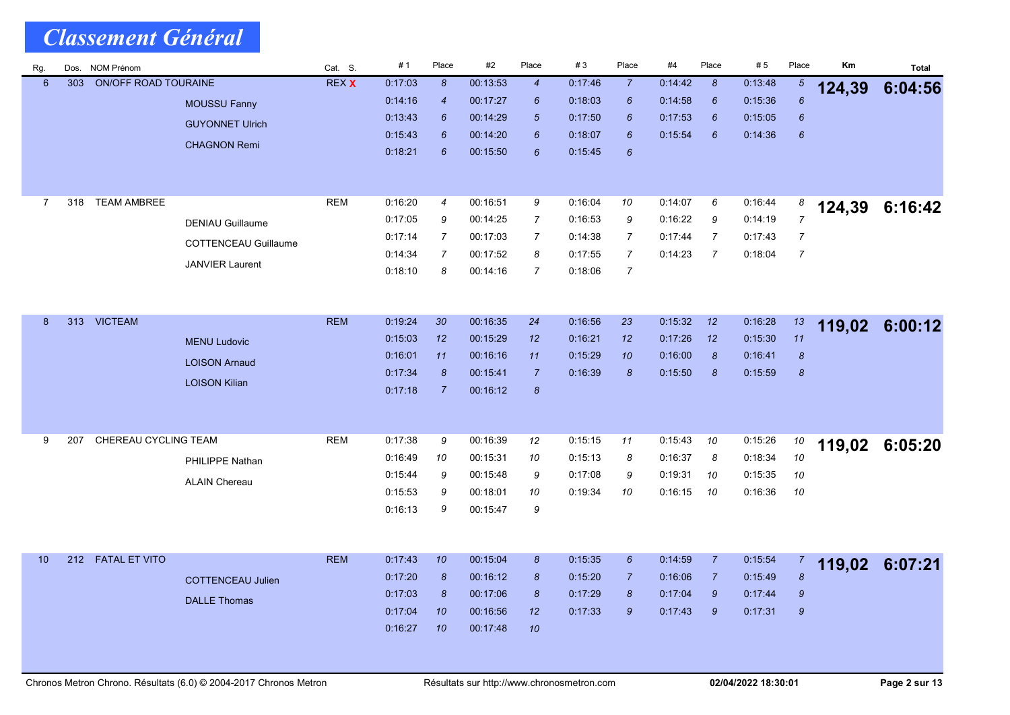| Rg.             | Dos. | NOM Prénom                  |                             | Cat. S.      | # 1                | Place                 | #2                   | Place                | $\#3$              | Place            | #4      | Place            | #5      | Place            | Кm     | <b>Total</b> |
|-----------------|------|-----------------------------|-----------------------------|--------------|--------------------|-----------------------|----------------------|----------------------|--------------------|------------------|---------|------------------|---------|------------------|--------|--------------|
| $6\phantom{1}$  | 303  | <b>ON/OFF ROAD TOURAINE</b> |                             | <b>REX X</b> | 0.17.03            | $\boldsymbol{8}$      | 00:13:53             | $\overline{4}$       | 0:17:46            | $\overline{7}$   | 0:14:42 | 8                | 0.13:48 | $\mathfrak{b}$   | 124,39 | 6:04:56      |
|                 |      |                             | <b>MOUSSU Fanny</b>         |              | 0.14:16            | $\boldsymbol{4}$      | 00:17:27             | 6                    | 0.18.03            | 6                | 0:14:58 | 6                | 0:15:36 | $\boldsymbol{6}$ |        |              |
|                 |      |                             | <b>GUYONNET Ulrich</b>      |              | 0:13.43            | 6                     | 00:14:29             | $\sqrt{5}$           | 0:17:50            | 6<br>6           | 0.17:53 | $6\overline{6}$  | 0:15:05 | $\boldsymbol{6}$ |        |              |
|                 |      |                             | <b>CHAGNON Remi</b>         |              | 0:15.43<br>0.18.21 | 6<br>6                | 00:14:20<br>00:15:50 | $6\phantom{1}6$<br>6 | 0:18:07<br>0:15:45 | 6                | 0.15:54 | $6\phantom{1}6$  | 0.14.36 | $\boldsymbol{6}$ |        |              |
|                 |      |                             |                             |              |                    |                       |                      |                      |                    |                  |         |                  |         |                  |        |              |
| $\overline{7}$  | 318  | <b>TEAM AMBREE</b>          |                             | <b>REM</b>   | 0:16:20            | $\boldsymbol{4}$      | 00:16:51             | 9                    | 0:16:04            | 10               | 0:14:07 | 6                | 0:16:44 | 8                | 124,39 | 6:16:42      |
|                 |      |                             | <b>DENIAU Guillaume</b>     |              | 0:17:05            | 9                     | 00:14:25             | $\overline{7}$       | 0.16.53            | 9                | 0.16.22 | 9                | 0:14:19 | $\overline{7}$   |        |              |
|                 |      |                             | <b>COTTENCEAU Guillaume</b> |              | 0.17:14            | 7                     | 00:17:03             | $\overline{7}$       | 0:14:38            | 7                | 0:17:44 | $\overline{7}$   | 0:17:43 | $\overline{7}$   |        |              |
|                 |      |                             | <b>JANVIER Laurent</b>      |              | 0:14:34            | $\overline{7}$        | 00:17:52             | 8                    | 0.17:55            | $\overline{7}$   | 0.14.23 | 7                | 0:18:04 | $\overline{7}$   |        |              |
|                 |      |                             |                             |              | 0:18:10            | 8                     | 00:14:16             | $\overline{7}$       | 0.18.06            | $\overline{7}$   |         |                  |         |                  |        |              |
|                 |      |                             |                             |              |                    |                       |                      |                      |                    |                  |         |                  |         |                  |        |              |
| 8               | 313  | <b>VICTEAM</b>              |                             | <b>REM</b>   | 0:19:24            | 30                    | 00:16:35             | 24                   | 0:16:56            | 23               | 0:15:32 | 12               | 0.16.28 | 13               | 119,02 | 6:00:12      |
|                 |      |                             | <b>MENU Ludovic</b>         |              | 0.15:03            | 12                    | 00 15:29             | 12                   | 0:16:21            | 12               | 0:17:26 | 12               | 0:15:30 | 11               |        |              |
|                 |      |                             | <b>LOISON Arnaud</b>        |              | 0:16:01            | 11                    | 00:16:16             | 11                   | 0:15:29            | 10               | 0.16:00 | $\pmb{8}$        | 0:16:41 | $\pmb{8}$        |        |              |
|                 |      |                             | <b>LOISON Kilian</b>        |              | 0:17:34            | $\pmb{8}$             | 00:15:41             | $\overline{7}$       | 0:16:39            | $\boldsymbol{8}$ | 0.15:50 | $\boldsymbol{8}$ | 0:15:59 | $\pmb{8}$        |        |              |
|                 |      |                             |                             |              | 0:17:18            | $\overline{7}$        | 00:16:12             | $\pmb{8}$            |                    |                  |         |                  |         |                  |        |              |
|                 |      |                             |                             |              |                    |                       |                      |                      |                    |                  |         |                  |         |                  |        |              |
| 9               | 207  | CHEREAU CYCLING TEAM        |                             | <b>REM</b>   | 0:17:38            | 9                     | 00:16:39             | 12                   | 0:15:15            | 11               | 0:15:43 | 10               | 0:15:26 | 10               | 119,02 | 6:05:20      |
|                 |      |                             | PHILIPPE Nathan             |              | 0.16.49            | 10                    | 00:15:31             | 10                   | 0.15.13            | 8                | 0:16:37 | 8                | 0:18:34 | 10               |        |              |
|                 |      |                             | <b>ALAIN Chereau</b>        |              | 0.15.44            | 9                     | 00:15:48             | 9                    | 0:17:08            | 9                | 0:19:31 | 10               | 0:15:35 | 10               |        |              |
|                 |      |                             |                             |              | 0.15.53            | 9                     | 00:18:01             | 10                   | 0:19:34            | 10               | 0:16:15 | 10               | 0:16:36 | 10               |        |              |
|                 |      |                             |                             |              | 0.16.13            | 9                     | 00:15:47             | 9                    |                    |                  |         |                  |         |                  |        |              |
|                 |      |                             |                             |              |                    |                       |                      |                      |                    |                  |         |                  |         |                  |        |              |
| 10 <sup>°</sup> |      | 212 FATAL ET VITO           |                             | <b>REM</b>   | 0:17:43            | 10                    | 00:15:04             | 8                    | 0:15:35            | 6                | 0:14:59 | $\overline{7}$   | 0:15:54 | $\mathbf{7}$     | 119,02 | 6:07:21      |
|                 |      |                             | <b>COTTENCEAU Julien</b>    |              | 0.17:20            | 8                     | 00:16:12             | 8                    | 0.15.20            | $\overline{7}$   | 0:16:06 | $\overline{7}$   | 0:15:49 | $\delta$         |        |              |
|                 |      |                             | <b>DALLE Thomas</b>         |              | 0:17:03            | $\boldsymbol{\delta}$ | 00:17:06             | $\boldsymbol{8}$     | 0:17:29            | 8                | 0:17:04 | $\mathcal{G}$    | 0:17:44 | $\boldsymbol{9}$ |        |              |
|                 |      |                             |                             |              | 0:17:04            | 10                    | 00:16:56             | 12                   | 0:17:33            | $\mathcal{G}$    | 0.17:43 | $\boldsymbol{9}$ | 0:17:31 | $\boldsymbol{9}$ |        |              |
|                 |      |                             |                             |              | 0.16.27            | 10                    | 00:17:48             | 10                   |                    |                  |         |                  |         |                  |        |              |
|                 |      |                             |                             |              |                    |                       |                      |                      |                    |                  |         |                  |         |                  |        |              |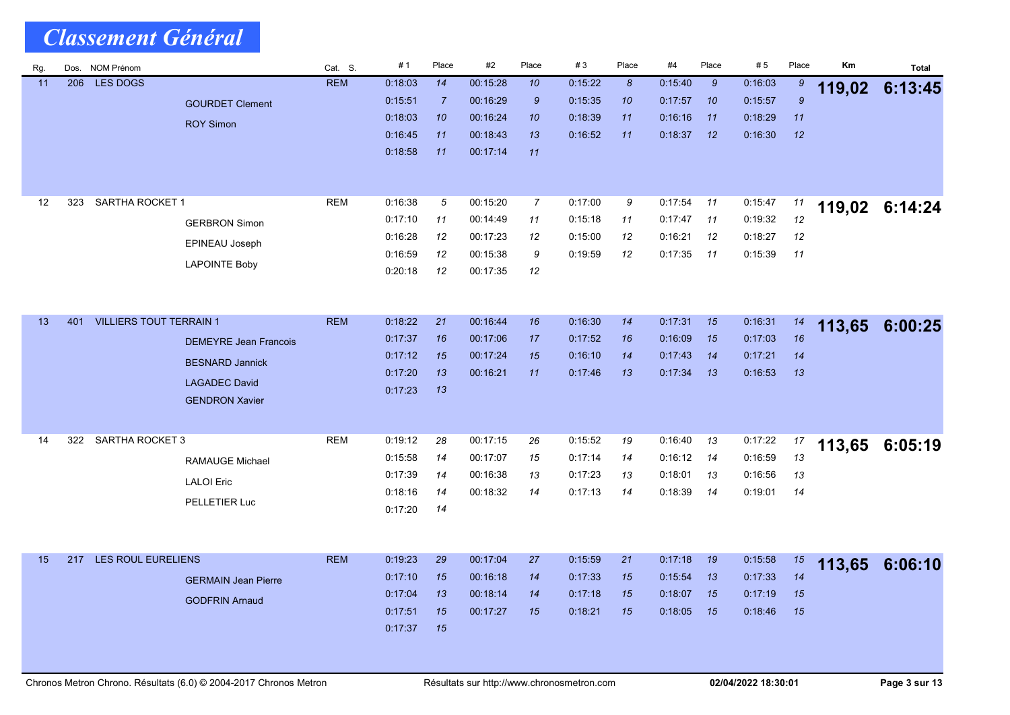| Rg. | Dos. | <b>NOM Prénom</b>              |                              | Cat. S.    | #1                 | Place          | #2                   | Place            | #3      | Place            | #4      | Place | #5      | Place          | Km     | <b>Total</b> |
|-----|------|--------------------------------|------------------------------|------------|--------------------|----------------|----------------------|------------------|---------|------------------|---------|-------|---------|----------------|--------|--------------|
| 11  | 206  | LES DOGS                       |                              | <b>REM</b> | 0.18.03            | 14             | 00:15:28             | 10               | 0:15:22 | $\boldsymbol{8}$ | 0:15:40 | 9     | 0:16:03 | 9              | 119,02 | 6:13:45      |
|     |      |                                | <b>GOURDET Clement</b>       |            | 0:15:51            | $\overline{7}$ | 00:16:29             | $\boldsymbol{9}$ | 0:15:35 | 10               | 0:17:57 | 10    | 0:15:57 | $\mathfrak{g}$ |        |              |
|     |      |                                | <b>ROY Simon</b>             |            | 0:18:03            | 10             | 00:16:24             | 10               | 0:18:39 | 11               | 0:16:16 | 11    | 0:18:29 | 11             |        |              |
|     |      |                                |                              |            | 0:16:45            | 11             | 00:18:43             | 13               | 0.16.52 | 11               | 0:18:37 | 12    | 0.16.30 | 12             |        |              |
|     |      |                                |                              |            | 0.18.58            | 11             | 00:17:14             | 11               |         |                  |         |       |         |                |        |              |
|     |      |                                |                              |            |                    |                |                      |                  |         |                  |         |       |         |                |        |              |
|     | 323  | SARTHA ROCKET 1                |                              | <b>REM</b> | 0.16.38            |                | 00:15:20             | $\overline{7}$   | 0:17:00 |                  | 0:17:54 |       |         |                |        |              |
| 12  |      |                                |                              |            |                    | 5              |                      |                  |         | 9                |         | 11    | 0:15:47 | 11             | 119,02 | 6:14:24      |
|     |      |                                | <b>GERBRON Simon</b>         |            | 0:17:10            | 11             | 00:14:49             | 11               | 0:15:18 | 11               | 0:17:47 | 11    | 0:19:32 | 12             |        |              |
|     |      |                                | EPINEAU Joseph               |            | 0:16:28            | 12<br>12       | 00:17:23             | 12<br>9          | 0:15:00 | 12<br>12         | 0:16:21 | 12    | 0:18:27 | 12             |        |              |
|     |      |                                | <b>LAPOINTE Boby</b>         |            | 0:16:59<br>0:20:18 | 12             | 00:15:38<br>00:17:35 |                  | 0.19.59 |                  | 0:17:35 | 11    | 0:15:39 | 11             |        |              |
|     |      |                                |                              |            |                    |                |                      | 12               |         |                  |         |       |         |                |        |              |
|     |      |                                |                              |            |                    |                |                      |                  |         |                  |         |       |         |                |        |              |
| 13  | 401  | <b>VILLIERS TOUT TERRAIN 1</b> |                              | <b>REM</b> | 0:18:22            | 21             | 00:16:44             | 16               | 0.16:30 | 14               | 0:17:31 | 15    | 0:16:31 | 14             | 113,65 | 6:00:25      |
|     |      |                                | <b>DEMEYRE Jean Francois</b> |            | 0.17.37            | 16             | 00:17:06             | 17               | 0:17:52 | 16               | 0:16:09 | 15    | 0.17.03 | 16             |        |              |
|     |      |                                |                              |            | 0:17:12            | 15             | 00:17:24             | 15               | 0.16.10 | 14               | 0:17:43 | 14    | 0:17:21 | 14             |        |              |
|     |      |                                | <b>BESNARD Jannick</b>       |            | 0.17.20            | 13             | 00:16:21             | 11               | 0.17.46 | 13               | 0:17:34 | 13    | 0.16.53 | 13             |        |              |
|     |      |                                | <b>LAGADEC David</b>         |            | 0:17:23            | 13             |                      |                  |         |                  |         |       |         |                |        |              |
|     |      |                                | <b>GENDRON Xavier</b>        |            |                    |                |                      |                  |         |                  |         |       |         |                |        |              |
|     |      |                                |                              |            |                    |                |                      |                  |         |                  |         |       |         |                |        |              |
| 14  | 322  | SARTHA ROCKET 3                |                              | <b>REM</b> | 0:19:12            | 28             | 00:17:15             | 26               | 0:15:52 | 19               | 0:16:40 | 13    | 0:17:22 | 17             | 113,65 | 6:05:19      |
|     |      |                                | <b>RAMAUGE Michael</b>       |            | 0:15:58            | 14             | 00:17:07             | 15               | 0:17:14 | 14               | 0:16:12 | 14    | 0:16:59 | 13             |        |              |
|     |      |                                | <b>LALOI</b> Eric            |            | 0:17:39            | 14             | 00:16:38             | 13               | 0:17:23 | 13               | 0.18:01 | 13    | 0:16:56 | 13             |        |              |
|     |      |                                | PELLETIER Luc                |            | 0:18:16            | 14             | 00:18:32             | 14               | 0.17.13 | 14               | 0:18:39 | 14    | 0:19:01 | 14             |        |              |
|     |      |                                |                              |            | 0:17:20            | 14             |                      |                  |         |                  |         |       |         |                |        |              |
|     |      |                                |                              |            |                    |                |                      |                  |         |                  |         |       |         |                |        |              |
|     |      |                                |                              |            |                    |                |                      |                  |         |                  |         |       |         |                |        |              |
| 15  | 217  | <b>LES ROUL EURELIENS</b>      |                              | <b>REM</b> | 0.19.23            | 29             | 00:17:04             | 27               | 0:15:59 | 21               | 0:17:18 | 19    | 0.15.58 | 15             | 113,65 | 6:06:10      |
|     |      |                                | <b>GERMAIN Jean Pierre</b>   |            | 0:17:10            | 15             | 00:16:18             | 14               | 0:17:33 | 15               | 0:15.54 | 13    | 0:17:33 | 14             |        |              |
|     |      |                                | <b>GODFRIN Arnaud</b>        |            | 0.17.04            | 13             | 00:18:14             | 14               | 0:17:18 | 15               | 0:18:07 | 15    | 0:17:19 | 15             |        |              |
|     |      |                                |                              |            | 0:17:51            | 15             | 00:17:27             | 15               | 0:18:21 | 15               | 0:18:05 | 15    | 0:18:46 | 15             |        |              |
|     |      |                                |                              |            | 0:17:37            | 15             |                      |                  |         |                  |         |       |         |                |        |              |
|     |      |                                |                              |            |                    |                |                      |                  |         |                  |         |       |         |                |        |              |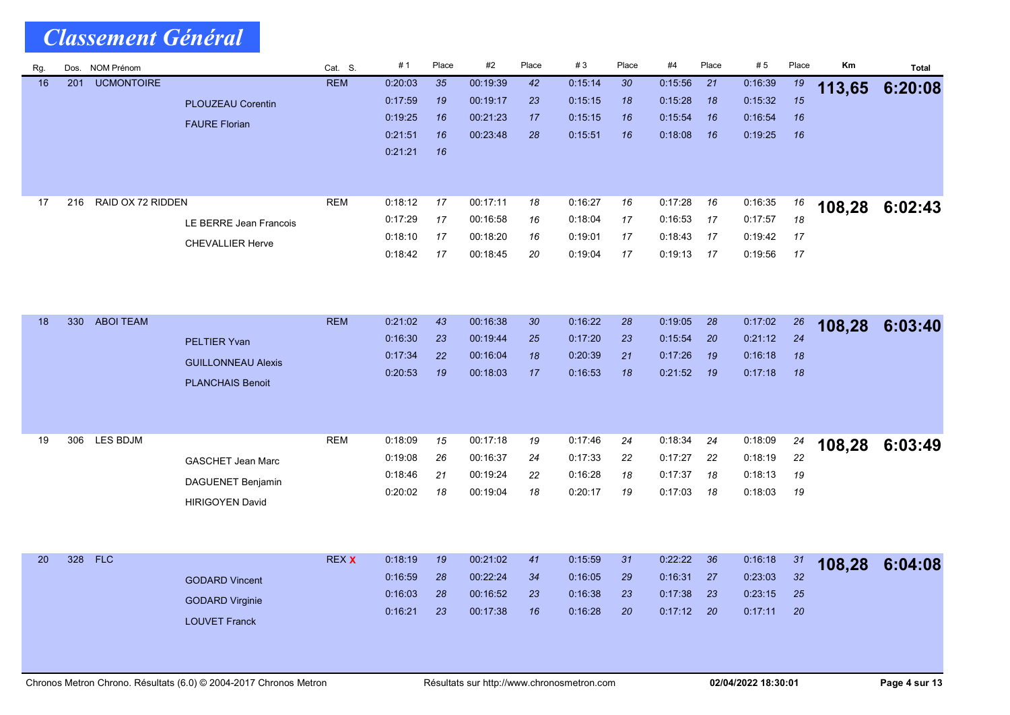| Rg. | Dos. | NOM Prénom        |                           | Cat. S.      | #1      | Place | #2       | Place | #3      | Place | #4      | Place | #5      | Place           | Km     | <b>Total</b> |
|-----|------|-------------------|---------------------------|--------------|---------|-------|----------|-------|---------|-------|---------|-------|---------|-----------------|--------|--------------|
| 16  | 201  | <b>UCMONTOIRE</b> |                           | <b>REM</b>   | 0:20:03 | 35    | 00:19:39 | 42    | 0:15:14 | 30    | 0:15:56 | 21    | 0:16:39 | 19              | 113,65 | 6:20:08      |
|     |      |                   | <b>PLOUZEAU Corentin</b>  |              | 0:17:59 | 19    | 00:19:17 | 23    | 0.15.15 | 18    | 0:15:28 | 18    | 0:15:32 | 15              |        |              |
|     |      |                   | <b>FAURE Florian</b>      |              | 0:19:25 | 16    | 00:21:23 | 17    | 0:15:15 | 16    | 0.15:54 | 16    | 0.16.54 | 16              |        |              |
|     |      |                   |                           |              | 0:21:51 | 16    | 00:23:48 | 28    | 0:15:51 | 16    | 0.18.08 | 16    | 0:19:25 | 16              |        |              |
|     |      |                   |                           |              | 0.21.21 | 16    |          |       |         |       |         |       |         |                 |        |              |
|     |      |                   |                           |              |         |       |          |       |         |       |         |       |         |                 |        |              |
|     |      |                   |                           |              |         |       |          |       |         |       |         |       |         |                 |        |              |
| 17  | 216  | RAID OX 72 RIDDEN |                           | <b>REM</b>   | 0:18:12 | 17    | 00:17:11 | 18    | 0:16.27 | 16    | 0:17:28 | 16    | 0:16:35 | 16              | 108,28 | 6:02:43      |
|     |      |                   | LE BERRE Jean Francois    |              | 0:17:29 | 17    | 00 16:58 | 16    | 0:18.04 | 17    | 0:16:53 | -17   | 0:17:57 | 18              |        |              |
|     |      |                   | <b>CHEVALLIER Herve</b>   |              | 0:18:10 | 17    | 00:18:20 | 16    | 0.19.01 | 17    | 0.18:43 | -17   | 0.19:42 | 17              |        |              |
|     |      |                   |                           |              | 0:18:42 | 17    | 00:18:45 | 20    | 0:19.04 | 17    | 0:19:13 | 17    | 0:19:56 | 17              |        |              |
|     |      |                   |                           |              |         |       |          |       |         |       |         |       |         |                 |        |              |
|     |      |                   |                           |              |         |       |          |       |         |       |         |       |         |                 |        |              |
|     |      |                   |                           |              |         |       |          |       |         |       |         |       |         |                 |        |              |
| 18  | 330  | <b>ABOI TEAM</b>  |                           | <b>REM</b>   | 0.21.02 | 43    | 00:16:38 | 30    | 0:16:22 | 28    | 0:19:05 | 28    | 0:17:02 | 26              | 108,28 | 6:03:40      |
|     |      |                   | <b>PELTIER Yvan</b>       |              | 0:16:30 | 23    | 00:19:44 | 25    | 0:17:20 | 23    | 0:15:54 | 20    | 0:21:12 | 24              |        |              |
|     |      |                   | <b>GUILLONNEAU Alexis</b> |              | 0:17:34 | 22    | 00:16:04 | 18    | 0:20:39 | 21    | 0:17:26 | 19    | 0:16:18 | 18              |        |              |
|     |      |                   | <b>PLANCHAIS Benoit</b>   |              | 0:20:53 | 19    | 00 18:03 | 17    | 0:16:53 | 18    | 0.21:52 | - 19  | 0:17:18 | 18              |        |              |
|     |      |                   |                           |              |         |       |          |       |         |       |         |       |         |                 |        |              |
|     |      |                   |                           |              |         |       |          |       |         |       |         |       |         |                 |        |              |
| 19  | 306  | LES BDJM          |                           | <b>REM</b>   | 0.18:09 | 15    | 00:17:18 | 19    | 0:17:46 | 24    | 0:18:34 | 24    | 0:18:09 |                 |        |              |
|     |      |                   |                           |              | 0.19.08 | 26    | 00:16:37 | 24    | 0:17:33 | 22    | 0.17:27 | 22    | 0:18:19 | 24<br>22        | 108,28 | 6:03:49      |
|     |      |                   | <b>GASCHET Jean Marc</b>  |              | 0:18:46 | 21    | 00:19:24 | 22    | 0:16.28 | 18    | 0:17:37 | 18    | 0.18:13 | 19              |        |              |
|     |      |                   | DAGUENET Benjamin         |              | 0.20:02 | 18    | 00:19:04 | 18    | 0:20:17 | 19    | 0:17:03 | 18    | 0:18:03 | 19              |        |              |
|     |      |                   | <b>HIRIGOYEN David</b>    |              |         |       |          |       |         |       |         |       |         |                 |        |              |
|     |      |                   |                           |              |         |       |          |       |         |       |         |       |         |                 |        |              |
|     |      |                   |                           |              |         |       |          |       |         |       |         |       |         |                 |        |              |
| 20  | 328  | <b>FLC</b>        |                           | <b>REX X</b> | 0:18:19 | 19    | 00:21:02 | 41    | 0:15:59 | 31    | 0:22:22 | 36    | 0:16:18 | 31              |        |              |
|     |      |                   |                           |              | 0:16:59 | 28    | 00:22:24 | 34    | 0:16:05 | 29    | 0:16:31 | 27    | 0.23:03 | 32 <sup>2</sup> | 108,28 | 6:04:08      |
|     |      |                   | <b>GODARD Vincent</b>     |              | 0.16:03 | 28    | 00:16:52 | 23    | 0.16.38 | 23    | 0:17:38 | 23    | 0:23:15 | 25              |        |              |
|     |      |                   | <b>GODARD Virginie</b>    |              | 0.16:21 | 23    | 00:17:38 | 16    | 0.16.28 | 20    | 0.17:12 | -20   | 0.17:11 | 20              |        |              |
|     |      |                   | <b>LOUVET Franck</b>      |              |         |       |          |       |         |       |         |       |         |                 |        |              |
|     |      |                   |                           |              |         |       |          |       |         |       |         |       |         |                 |        |              |
|     |      |                   |                           |              |         |       |          |       |         |       |         |       |         |                 |        |              |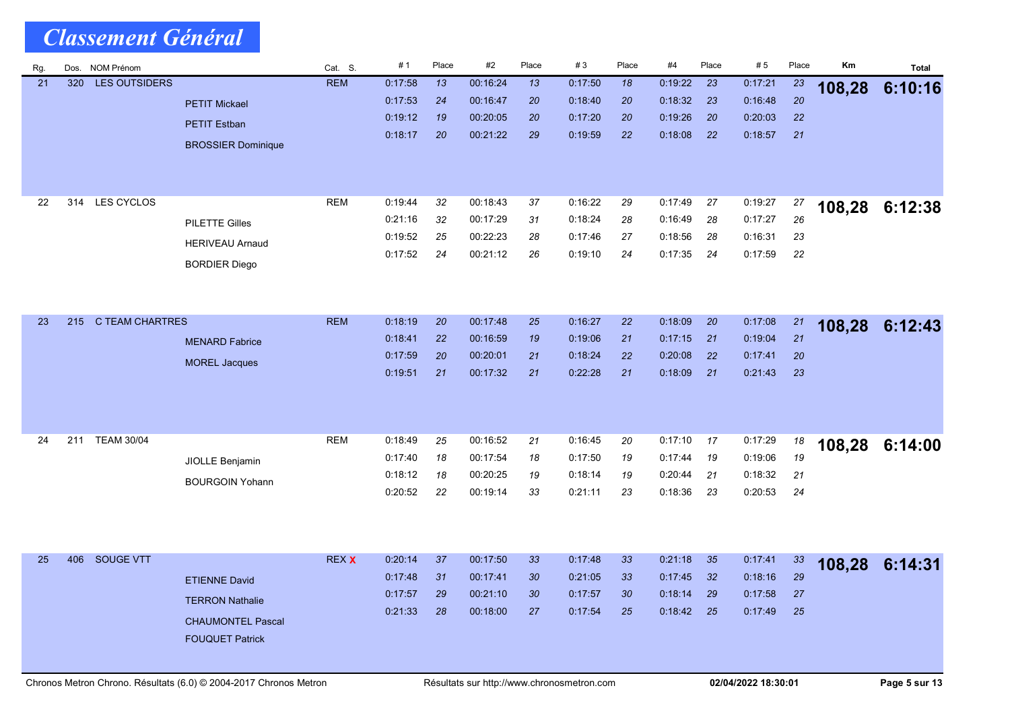| Rg. | Dos. | <b>NOM Prénom</b>      |                           | Cat. S.      | #1      | Place | #2       | Place           | #3      | Place | #4      | Place | #5      | Place | Km     | <b>Total</b>   |
|-----|------|------------------------|---------------------------|--------------|---------|-------|----------|-----------------|---------|-------|---------|-------|---------|-------|--------|----------------|
| 21  | 320  | <b>LES OUTSIDERS</b>   |                           | <b>REM</b>   | 0:17:58 | 13    | 00:16:24 | 13              | 0.17.50 | 18    | 0:19:22 | 23    | 0:17:21 | 23    | 108,28 | 6:10:16        |
|     |      |                        | <b>PETIT Mickael</b>      |              | 0.17:53 | 24    | 00:16:47 | 20              | 0.18.40 | 20    | 0:18:32 | 23    | 0:16.48 | 20    |        |                |
|     |      |                        | <b>PETIT Estban</b>       |              | 0:19:12 | 19    | 00:20:05 | 20              | 0.17.20 | 20    | 0:19:26 | 20    | 0:20:03 | 22    |        |                |
|     |      |                        | <b>BROSSIER Dominique</b> |              | 0:18:17 | 20    | 00:21:22 | 29              | 0:19:59 | 22    | 0.18.08 | 22    | 0:18:57 | 21    |        |                |
|     |      |                        |                           |              |         |       |          |                 |         |       |         |       |         |       |        |                |
|     |      |                        |                           |              |         |       |          |                 |         |       |         |       |         |       |        |                |
| 22  | 314  | LES CYCLOS             |                           | <b>REM</b>   | 0:19:44 | 32    | 00:18:43 | 37              | 0:16:22 | 29    | 0:17.49 | 27    | 0:19:27 | 27    |        |                |
|     |      |                        | <b>PILETTE Gilles</b>     |              | 0:21:16 | 32    | 00:17:29 | 31              | 0:18.24 | 28    | 0.16.49 | 28    | 0:17:27 | 26    | 108,28 | 6:12:38        |
|     |      |                        |                           |              | 0:19:52 | 25    | 00:22:23 | 28              | 0.17.46 | 27    | 0:18:56 | 28    | 0:16:31 | 23    |        |                |
|     |      |                        | <b>HERIVEAU Arnaud</b>    |              | 0:17:52 | 24    | 00:21:12 | 26              | 0.19.10 | 24    | 0:17:35 | 24    | 0:17:59 | 22    |        |                |
|     |      |                        | <b>BORDIER Diego</b>      |              |         |       |          |                 |         |       |         |       |         |       |        |                |
|     |      |                        |                           |              |         |       |          |                 |         |       |         |       |         |       |        |                |
|     |      |                        |                           |              |         |       |          |                 |         |       |         |       |         |       |        |                |
| 23  | 215  | <b>C TEAM CHARTRES</b> |                           | <b>REM</b>   | 0:18:19 | 20    | 00:17:48 | 25              | 0.16.27 | 22    | 0:18:09 | 20    | 0:17:08 | 21    | 108,28 | 6:12:43        |
|     |      |                        | <b>MENARD Fabrice</b>     |              | 0:18:41 | 22    | 00:16:59 | 19              | 0.19.06 | 21    | 0:17:15 | 21    | 0:19:04 | 21    |        |                |
|     |      |                        | <b>MOREL Jacques</b>      |              | 0:17:59 | 20    | 00:20:01 | 21              | 0:18:24 | 22    | 0:20:08 | 22    | 0.17.41 | 20    |        |                |
|     |      |                        |                           |              | 0:19:51 | 21    | 00:17:32 | 21              | 0.22:28 | 21    | 0:18:09 | 21    | 0.21.43 | 23    |        |                |
|     |      |                        |                           |              |         |       |          |                 |         |       |         |       |         |       |        |                |
|     |      |                        |                           |              |         |       |          |                 |         |       |         |       |         |       |        |                |
| 24  | 211  | <b>TEAM 30/04</b>      |                           | <b>REM</b>   | 0.18:49 | 25    | 00:16:52 | 21              | 0:16:45 | 20    | 0:17:10 | 17    | 0:17:29 | 18    |        |                |
|     |      |                        |                           |              | 0.17:40 | 18    | 00:17:54 | 18              | 0:17:50 | 19    | 0:17:44 | 19    | 0:19:06 | 19    |        | 108,28 6:14:00 |
|     |      |                        | JIOLLE Benjamin           |              | 0:18:12 | 18    | 00:20:25 | 19              | 0.18.14 | 19    | 0:20:44 | 21    | 0:18:32 | 21    |        |                |
|     |      |                        | <b>BOURGOIN Yohann</b>    |              | 0:20:52 | 22    | 00:19:14 | 33              | 0.21.11 | 23    | 0:18:36 | 23    | 0:20:53 | 24    |        |                |
|     |      |                        |                           |              |         |       |          |                 |         |       |         |       |         |       |        |                |
|     |      |                        |                           |              |         |       |          |                 |         |       |         |       |         |       |        |                |
|     |      |                        |                           |              |         |       |          |                 |         |       |         |       |         |       |        |                |
| 25  | 406  | SOUGE VTT              |                           | <b>REX X</b> | 0:20:14 | 37    | 00:17:50 | 33 <sup>°</sup> | 0.17.48 | 33    | 0:21:18 | 35    | 0:17.41 | 33    |        | 108,28 6:14:31 |
|     |      |                        | <b>ETIENNE David</b>      |              | 0:17:48 | 31    | 00:17:41 | 30              | 0:21:05 | 33    | 0:17:45 | 32    | 0:18:16 | 29    |        |                |
|     |      |                        | <b>TERRON Nathalie</b>    |              | 0:17:57 | 29    | 00:21:10 | 30              | 0:17:57 | 30    | 0.18:14 | 29    | 0:17:58 | 27    |        |                |
|     |      |                        | <b>CHAUMONTEL Pascal</b>  |              | 0.21.33 | 28    | 00:18:00 | 27              | 0:17:54 | 25    | 0.18.42 | 25    | 0.17.49 | 25    |        |                |
|     |      |                        | <b>FOUQUET Patrick</b>    |              |         |       |          |                 |         |       |         |       |         |       |        |                |
|     |      |                        |                           |              |         |       |          |                 |         |       |         |       |         |       |        |                |
|     |      |                        |                           |              |         |       |          |                 |         |       |         |       |         |       |        |                |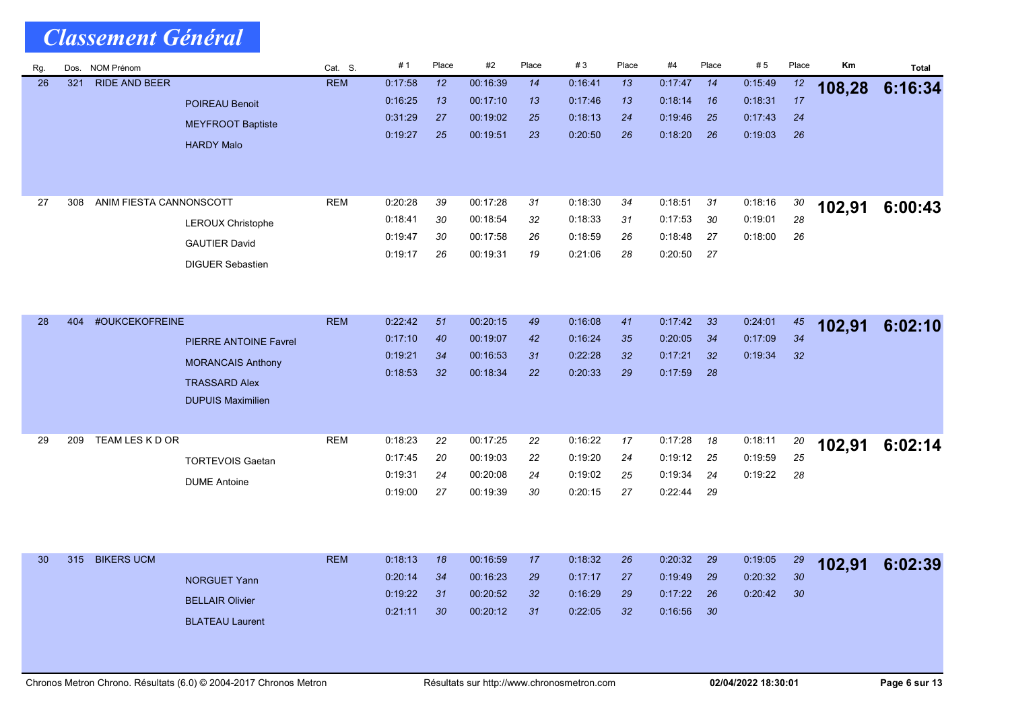| <b>Classement Général</b> |
|---------------------------|
|---------------------------|

| Rg. | Dos. | NOM Prénom              |                              | Cat. S.    | #1      | Place | #2       | Place | #3      | Place           | #4      | Place | #5      | Place    | Km     | <b>Total</b> |
|-----|------|-------------------------|------------------------------|------------|---------|-------|----------|-------|---------|-----------------|---------|-------|---------|----------|--------|--------------|
| 26  | 321  | <b>RIDE AND BEER</b>    |                              | <b>REM</b> | 0.17:58 | 12    | 00:16:39 | 14    | 0.16.41 | 13              | 0.17.47 | 14    | 0:15.49 | 12       | 108,28 | 6:16:34      |
|     |      |                         | <b>POIREAU Benoit</b>        |            | 0:16:25 | 13    | 00:17:10 | 13    | 0.17.46 | 13              | 0:18:14 | 16    | 0:18:31 | 17       |        |              |
|     |      |                         | <b>MEYFROOT Baptiste</b>     |            | 0.31.29 | 27    | 00:19:02 | 25    | 0.18.13 | 24              | 0:19:46 | 25    | 0.17.43 | 24       |        |              |
|     |      |                         | <b>HARDY Malo</b>            |            | 0:19:27 | 25    | 00:19:51 | 23    | 0:20:50 | 26              | 0:18:20 | 26    | 0.19.03 | 26       |        |              |
|     |      |                         |                              |            |         |       |          |       |         |                 |         |       |         |          |        |              |
|     |      |                         |                              |            |         |       |          |       |         |                 |         |       |         |          |        |              |
| 27  | 308  | ANIM FIESTA CANNONSCOTT |                              | <b>REM</b> | 0:20:28 | 39    | 00:17:28 | 31    | 0:18:30 | 34              | 0:18:51 | 31    | 0:18:16 | 30       |        |              |
|     |      |                         |                              |            | 0:18.41 | 30    | 00:18:54 | 32    | 0:18:33 | 31              | 0:17:53 | 30    | 0:19:01 | 28       | 102,91 | 6:00:43      |
|     |      |                         | <b>LEROUX Christophe</b>     |            | 0:19:47 | 30    | 00:17:58 | 26    | 0:18:59 | 26              | 0:18:48 | 27    | 0:18:00 | 26       |        |              |
|     |      |                         | <b>GAUTIER David</b>         |            | 0:19:17 | 26    | 00:19:31 | 19    | 0.21.06 | 28              | 0:20:50 | 27    |         |          |        |              |
|     |      |                         | <b>DIGUER Sebastien</b>      |            |         |       |          |       |         |                 |         |       |         |          |        |              |
|     |      |                         |                              |            |         |       |          |       |         |                 |         |       |         |          |        |              |
|     |      |                         |                              |            |         |       |          |       |         |                 |         |       |         |          |        |              |
| 28  | 404  | #OUKCEKOFREINE          |                              | <b>REM</b> | 0:22:42 | 51    | 00:20:15 | 49    | 0:16:08 | 41              | 0:17:42 | 33    | 0:24:01 | 45       | 102,91 | 6:02:10      |
|     |      |                         | <b>PIERRE ANTOINE Favrel</b> |            | 0.17:10 | 40    | 00:19:07 | 42    | 0.16.24 | 35              | 0.20:05 | 34    | 0:17:09 | 34       |        |              |
|     |      |                         | <b>MORANCAIS Anthony</b>     |            | 0:19:21 | 34    | 00:16:53 | 31    | 0.22.28 | 32 <sub>2</sub> | 0.17.21 | 32    | 0:19:34 | 32       |        |              |
|     |      |                         | <b>TRASSARD Alex</b>         |            | 0:18:53 | 32    | 00:18:34 | 22    | 0:20:33 | 29              | 0:17:59 | 28    |         |          |        |              |
|     |      |                         | <b>DUPUIS Maximilien</b>     |            |         |       |          |       |         |                 |         |       |         |          |        |              |
|     |      |                         |                              |            |         |       |          |       |         |                 |         |       |         |          |        |              |
| 29  | 209  | TEAM LES K D OR         |                              | <b>REM</b> | 0.18:23 | 22    | 00:17:25 | 22    | 0:16:22 | 17              | 0:17:28 | 18    | 0:18:11 |          |        |              |
|     |      |                         |                              |            | 0:17:45 | 20    | 00:19:03 | 22    | 0:19:20 | 24              | 0:19:12 | 25    | 0:19:59 | 20<br>25 | 102,91 | 6:02:14      |
|     |      |                         | <b>TORTEVOIS Gaetan</b>      |            | 0:19:31 | 24    | 00:20:08 | 24    | 0:19:02 | 25              | 0:19:34 | 24    | 0:19:22 | 28       |        |              |
|     |      |                         | <b>DUME Antoine</b>          |            | 0.19:00 | 27    | 00:19:39 | 30    | 0:20:15 | 27              | 0:22:44 | 29    |         |          |        |              |
|     |      |                         |                              |            |         |       |          |       |         |                 |         |       |         |          |        |              |
|     |      |                         |                              |            |         |       |          |       |         |                 |         |       |         |          |        |              |
|     |      |                         |                              |            |         |       |          |       |         |                 |         |       |         |          |        |              |
| 30  | 315  | <b>BIKERS UCM</b>       |                              | <b>REM</b> | 0:18:13 | 18    | 00:16:59 | 17    | 0:18:32 | 26              | 0.20.32 | 29    | 0:19:05 | 29       | 102,91 | 6:02:39      |
|     |      |                         | <b>NORGUET Yann</b>          |            | 0:20:14 | 34    | 00:16:23 | 29    | 0:17:17 | 27              | 0:19:49 | 29    | 0:20:32 | 30       |        |              |
|     |      |                         | <b>BELLAIR Olivier</b>       |            | 0:19:22 | 31    | 00:20:52 | 32    | 0:16:29 | 29              | 0.17.22 | 26    | 0:20:42 | 30       |        |              |
|     |      |                         | <b>BLATEAU Laurent</b>       |            | 0:21:11 | 30    | 00:20:12 | 31    | 0:22:05 | 32 <sup>2</sup> | 0:16:56 | 30    |         |          |        |              |
|     |      |                         |                              |            |         |       |          |       |         |                 |         |       |         |          |        |              |
|     |      |                         |                              |            |         |       |          |       |         |                 |         |       |         |          |        |              |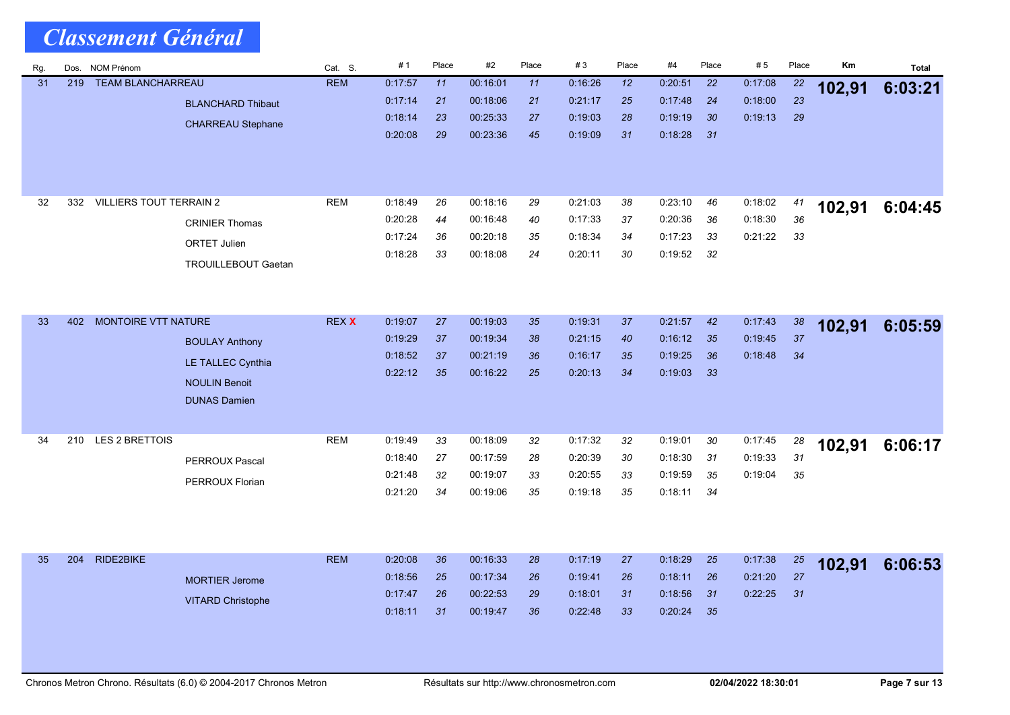| Rg. | Dos. | <b>NOM Prénom</b>              |                            | Cat. S.      | #1      | Place | #2       | Place | #3      | Place           | #4      | Place           | #5      | Place | Km     | <b>Total</b> |
|-----|------|--------------------------------|----------------------------|--------------|---------|-------|----------|-------|---------|-----------------|---------|-----------------|---------|-------|--------|--------------|
| 31  | 219  | <b>TEAM BLANCHARREAU</b>       |                            | <b>REM</b>   | 0:17:57 | 11    | 00:16:01 | 11    | 0.16.26 | 12 <sup>2</sup> | 0:20:51 | 22              | 0:17:08 | 22    | 102,91 | 6:03:21      |
|     |      |                                | <b>BLANCHARD Thibaut</b>   |              | 0:17:14 | 21    | 00:18:06 | 21    | 0.21:17 | 25              | 0:17:48 | 24              | 0:18:00 | 23    |        |              |
|     |      |                                | <b>CHARREAU Stephane</b>   |              | 0:18:14 | 23    | 00:25:33 | 27    | 0:19:03 | 28              | 0:19:19 | 30 <sup>°</sup> | 0:19:13 | 29    |        |              |
|     |      |                                |                            |              | 0.20:08 | 29    | 00:23:36 | 45    | 0.19.09 | 31              | 0.18.28 | 31              |         |       |        |              |
|     |      |                                |                            |              |         |       |          |       |         |                 |         |                 |         |       |        |              |
|     |      |                                |                            |              |         |       |          |       |         |                 |         |                 |         |       |        |              |
|     |      |                                |                            |              |         |       |          |       |         |                 |         |                 |         |       |        |              |
| 32  | 332  | <b>VILLIERS TOUT TERRAIN 2</b> |                            | <b>REM</b>   | 0:18:49 | 26    | 00:18:16 | 29    | 0:21:03 | 38              | 0:23:10 | 46              | 0:18:02 | 41    | 102,91 | 6:04:45      |
|     |      |                                | <b>CRINIER Thomas</b>      |              | 0.20:28 | 44    | 00:16:48 | 40    | 0:17:33 | 37              | 0:20:36 | 36              | 0:18:30 | 36    |        |              |
|     |      |                                | <b>ORTET Julien</b>        |              | 0:17:24 | 36    | 00:20:18 | 35    | 0:18:34 | 34              | 0:17:23 | 33              | 0:21:22 | 33    |        |              |
|     |      |                                | <b>TROUILLEBOUT Gaetan</b> |              | 0:18:28 | 33    | 00:18:08 | 24    | 0:20:11 | 30              | 0:19:52 | 32              |         |       |        |              |
|     |      |                                |                            |              |         |       |          |       |         |                 |         |                 |         |       |        |              |
|     |      |                                |                            |              |         |       |          |       |         |                 |         |                 |         |       |        |              |
| 33  | 402  | MONTOIRE VTT NATURE            |                            | <b>REX X</b> | 0:19:07 | 27    | 00:19:03 | 35    | 0:19:31 | 37              | 0:21:57 | 42              | 0:17:43 | 38    |        |              |
|     |      |                                |                            |              | 0:19:29 | 37    | 00:19:34 | 38    | 0:21:15 | 40              | 0:16:12 | 35              | 0:19:45 | 37    | 102,91 | 6:05:59      |
|     |      |                                | <b>BOULAY Anthony</b>      |              | 0:18:52 | 37    | 00:21:19 | 36    | 0:16:17 | 35              | 0:19:25 | 36              | 0:18:48 | 34    |        |              |
|     |      |                                | LE TALLEC Cynthia          |              | 0:22:12 | 35    | 00:16:22 | 25    | 0.20.13 | 34              | 0.19.03 | 33              |         |       |        |              |
|     |      |                                | <b>NOULIN Benoit</b>       |              |         |       |          |       |         |                 |         |                 |         |       |        |              |
|     |      |                                | <b>DUNAS Damien</b>        |              |         |       |          |       |         |                 |         |                 |         |       |        |              |
|     |      |                                |                            |              |         |       |          |       |         |                 |         |                 |         |       |        |              |
| 34  | 210  | LES 2 BRETTOIS                 |                            | <b>REM</b>   | 0:19:49 | 33    | 00:18:09 | 32    | 0:17:32 | 32              | 0.19:01 | 30              | 0:17:45 | 28    | 102,91 | 6:06:17      |
|     |      |                                | <b>PERROUX Pascal</b>      |              | 0:18:40 | 27    | 00:17:59 | 28    | 0.20.39 | 30              | 0:18:30 | 31              | 0:19:33 | 31    |        |              |
|     |      |                                |                            |              | 0:21:48 | 32    | 00:19:07 | 33    | 0.20.55 | 33              | 0:19:59 | 35              | 0:19:04 | 35    |        |              |
|     |      |                                | PERROUX Florian            |              | 0.21:20 | 34    | 00:19:06 | 35    | 0:19:18 | 35              | 0:18:11 | 34              |         |       |        |              |
|     |      |                                |                            |              |         |       |          |       |         |                 |         |                 |         |       |        |              |
|     |      |                                |                            |              |         |       |          |       |         |                 |         |                 |         |       |        |              |
|     |      |                                |                            |              |         |       |          |       |         |                 |         |                 |         |       |        |              |
| 35  | 204  | RIDE2BIKE                      |                            | <b>REM</b>   | 0:20:08 | 36    | 00:16:33 | 28    | 0.17.19 | 27              | 0:18:29 | 25              | 0:17:38 | 25    | 102,91 | 6:06:53      |
|     |      |                                | <b>MORTIER Jerome</b>      |              | 0.18:56 | 25    | 00:17:34 | 26    | 0.19.41 | 26              | 0:18:11 | 26              | 0:21:20 | 27    |        |              |
|     |      |                                | <b>VITARD Christophe</b>   |              | 0.17.47 | 26    | 00:22:53 | 29    | 0:18:01 | 31              | 0:18:56 | 31              | 0:22:25 | 31    |        |              |
|     |      |                                |                            |              | 0.18.11 | 31    | 00:19:47 | 36    | 0.22.48 | 33              | 0:20:24 | 35              |         |       |        |              |
|     |      |                                |                            |              |         |       |          |       |         |                 |         |                 |         |       |        |              |
|     |      |                                |                            |              |         |       |          |       |         |                 |         |                 |         |       |        |              |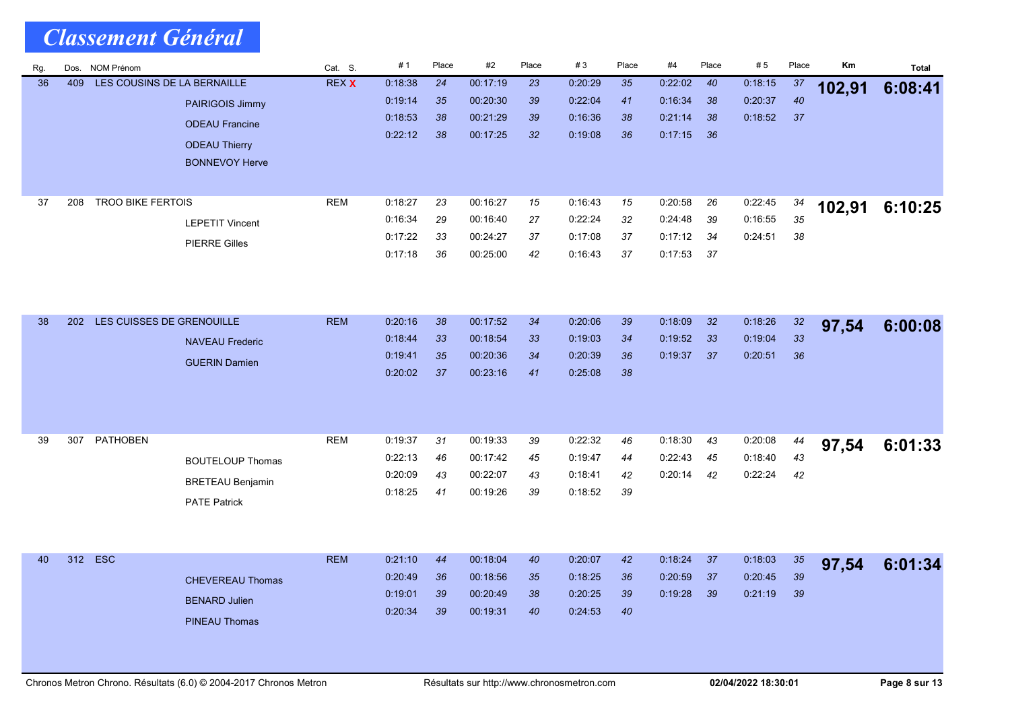| Rg. | Dos. | <b>NOM Prénom</b>           |                         | Cat. S.      | #1      | Place | #2       | Place | #3      | Place | #4      | Place | # 5     | Place    | Km     | <b>Total</b> |
|-----|------|-----------------------------|-------------------------|--------------|---------|-------|----------|-------|---------|-------|---------|-------|---------|----------|--------|--------------|
| 36  | 409  | LES COUSINS DE LA BERNAILLE |                         | <b>REX X</b> | 0.18.38 | 24    | 00:17:19 | 23    | 0:20:29 | 35    | 0:22:02 | 40    | 0:18:15 | 37       | 102,91 | 6:08:41      |
|     |      |                             | PAIRIGOIS Jimmy         |              | 0:19:14 | 35    | 00:20:30 | 39    | 0:22:04 | 41    | 0:16:34 | 38    | 0:20:37 | 40       |        |              |
|     |      |                             | <b>ODEAU Francine</b>   |              | 0:18:53 | 38    | 00:21:29 | 39    | 0.16.36 | 38    | 0:21:14 | 38    | 0:18:52 | 37       |        |              |
|     |      |                             | <b>ODEAU Thierry</b>    |              | 0:22:12 | 38    | 00:17:25 | 32    | 0.19.08 | 36    | 0:17:15 | 36    |         |          |        |              |
|     |      |                             | <b>BONNEVOY Herve</b>   |              |         |       |          |       |         |       |         |       |         |          |        |              |
|     |      |                             |                         |              |         |       |          |       |         |       |         |       |         |          |        |              |
| 37  | 208  | <b>TROO BIKE FERTOIS</b>    |                         | <b>REM</b>   | 0:18.27 | 23    | 00:16:27 | 15    | 0:16:43 | 15    | 0:20:58 | 26    | 0:22:45 |          |        |              |
|     |      |                             |                         |              | 0:16:34 | 29    | 00:16:40 | 27    | 0:22:24 | 32    | 0:24:48 | 39    | 0:16:55 | 34<br>35 | 102,91 | 6:10:25      |
|     |      |                             | <b>LEPETIT Vincent</b>  |              | 0:17:22 | 33    | 00:24:27 | 37    | 0:17:08 | 37    | 0:17:12 | 34    | 0.24.51 | 38       |        |              |
|     |      |                             | <b>PIERRE Gilles</b>    |              | 0:17:18 | 36    | 00:25:00 | 42    | 0:16:43 | 37    | 0:17:53 | 37    |         |          |        |              |
|     |      |                             |                         |              |         |       |          |       |         |       |         |       |         |          |        |              |
|     |      |                             |                         |              |         |       |          |       |         |       |         |       |         |          |        |              |
|     |      |                             |                         |              |         |       |          |       |         |       |         |       |         |          |        |              |
| 38  | 202  | LES CUISSES DE GRENOUILLE   |                         | <b>REM</b>   | 0:20:16 | 38    | 00:17:52 | 34    | 0:20:06 | 39    | 0.18.09 | 32    | 0:18:26 | 32       | 97,54  | 6:00:08      |
|     |      |                             | <b>NAVEAU Frederic</b>  |              | 0:18:44 | 33    | 00:18:54 | 33    | 0.19:03 | 34    | 0:19:52 | 33    | 0:19:04 | 33       |        |              |
|     |      |                             | <b>GUERIN Damien</b>    |              | 0.19.41 | 35    | 00:20:36 | 34    | 0.20.39 | 36    | 0:19:37 | 37    | 0:20:51 | 36       |        |              |
|     |      |                             |                         |              | 0:20:02 | 37    | 00:23:16 | 41    | 0.25:08 | 38    |         |       |         |          |        |              |
|     |      |                             |                         |              |         |       |          |       |         |       |         |       |         |          |        |              |
|     |      |                             |                         |              |         |       |          |       |         |       |         |       |         |          |        |              |
|     |      |                             |                         |              |         |       |          |       |         |       |         |       |         |          |        |              |
| 39  | 307  | <b>PATHOBEN</b>             |                         | <b>REM</b>   | 0:19:37 | 31    | 00:19:33 | 39    | 0:22:32 | 46    | 0.18.30 | 43    | 0:20:08 | 44       | 97,54  | 6:01:33      |
|     |      |                             | <b>BOUTELOUP Thomas</b> |              | 0:22:13 | 46    | 00:17:42 | 45    | 0:19.47 | 44    | 0:22:43 | 45    | 0:18:40 | 43       |        |              |
|     |      |                             | <b>BRETEAU Benjamin</b> |              | 0:20:09 | 43    | 00:22:07 | 43    | 0:18.41 | 42    | 0:20:14 | 42    | 0:22:24 | $42\,$   |        |              |
|     |      |                             | <b>PATE Patrick</b>     |              | 0:18:25 | 41    | 00:19:26 | 39    | 0.18.52 | 39    |         |       |         |          |        |              |
|     |      |                             |                         |              |         |       |          |       |         |       |         |       |         |          |        |              |
|     |      |                             |                         |              |         |       |          |       |         |       |         |       |         |          |        |              |
| 40  | 312  | <b>ESC</b>                  |                         | <b>REM</b>   | 0:21:10 | 44    | 00:18:04 | 40    | 0:20:07 | 42    | 0.18.24 | 37    | 0:18:03 |          |        |              |
|     |      |                             |                         |              | 0:20:49 | 36    | 00 18:56 | 35    | 0.18.25 | 36    | 0.20.59 | 37    | 0:20:45 | 35<br>39 | 97,54  | 6:01:34      |
|     |      |                             | <b>CHEVEREAU Thomas</b> |              | 0.19:01 | 39    | 00:20:49 | 38    | 0:20:25 | 39    | 0:19:28 | 39    | 0.21.19 | 39       |        |              |
|     |      |                             | <b>BENARD Julien</b>    |              | 0:20:34 | 39    | 00:19:31 | 40    | 0.24.53 | 40    |         |       |         |          |        |              |
|     |      |                             | <b>PINEAU Thomas</b>    |              |         |       |          |       |         |       |         |       |         |          |        |              |
|     |      |                             |                         |              |         |       |          |       |         |       |         |       |         |          |        |              |
|     |      |                             |                         |              |         |       |          |       |         |       |         |       |         |          |        |              |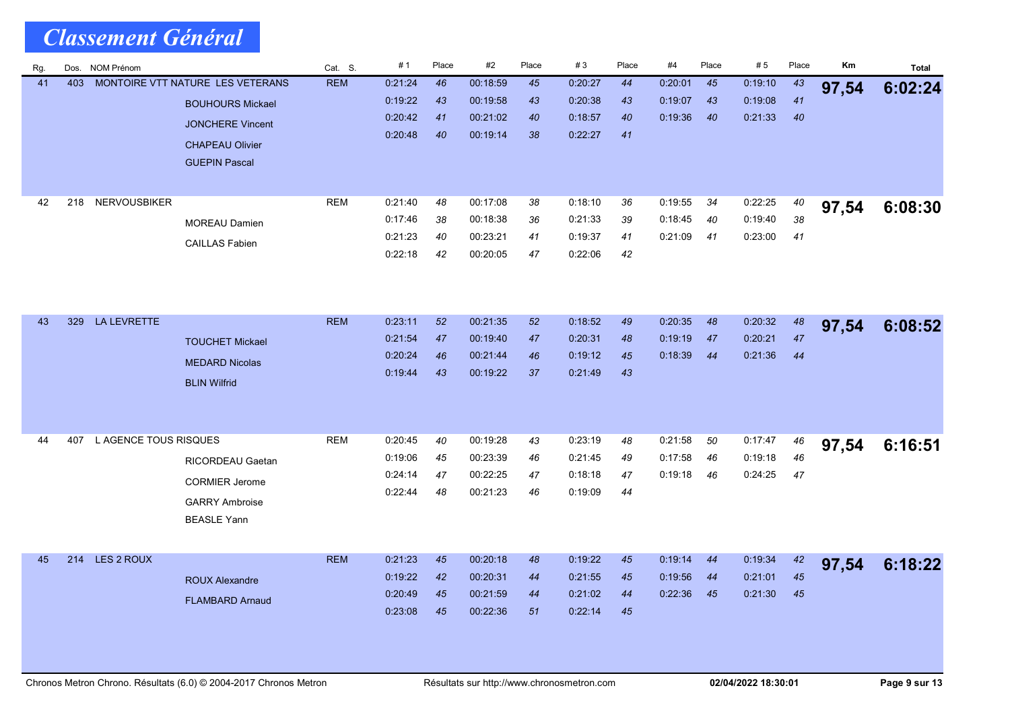| Rg. | Dos. | NOM Prénom            |                                  | Cat. S.    | #1                 | Place    | #2                   | Place    | #3                 | Place    | #4                 | Place    | #5                 | Place    | Κm    | <b>Total</b> |
|-----|------|-----------------------|----------------------------------|------------|--------------------|----------|----------------------|----------|--------------------|----------|--------------------|----------|--------------------|----------|-------|--------------|
| 41  | 403  |                       | MONTOIRE VTT NATURE LES VETERANS | <b>REM</b> | 0.21.24            | 46       | 00:18:59             | 45       | 0:20:27            | 44       | 0:20:01            | 45       | 0.19.10            | 43       | 97,54 | 6:02:24      |
|     |      |                       | <b>BOUHOURS Mickael</b>          |            | 0:19:22            | 43       | 00:19:58             | 43       | 0:20:38            | 43       | 0:19:07            | 43       | 0.19.08            | 41       |       |              |
|     |      |                       | <b>JONCHERE Vincent</b>          |            | 0:20:42            | 41       | 00:21:02             | 40       | 0.18.57            | 40       | 0.19.36            | 40       | 0:21:33            | 40       |       |              |
|     |      |                       | <b>CHAPEAU Olivier</b>           |            | 0.20.48            | 40       | 00:19:14             | 38       | 0:22:27            | 41       |                    |          |                    |          |       |              |
|     |      |                       | <b>GUEPIN Pascal</b>             |            |                    |          |                      |          |                    |          |                    |          |                    |          |       |              |
|     |      |                       |                                  |            |                    |          |                      |          |                    |          |                    |          |                    |          |       |              |
| 42  | 218  | <b>NERVOUSBIKER</b>   |                                  | <b>REM</b> | 0:21:40            | 48       | 00:17:08             | 38       | 0:18:10            | 36       | 0:19:55            | 34       | 0:22:25            | 40       | 97,54 | 6:08:30      |
|     |      |                       | <b>MOREAU Damien</b>             |            | 0:17:46            | 38       | 00:18:38             | 36       | 0:21:33            | 39       | 0:18:45            | 40       | 0:19:40            | 38       |       |              |
|     |      |                       | <b>CAILLAS Fabien</b>            |            | 0:21:23            | 40       | 00:23:21             | 41       | 0.19.37            | 41       | 0:21:09            | 41       | 0.23:00            | 41       |       |              |
|     |      |                       |                                  |            | 0.22:18            | 42       | 00:20:05             | 47       | 0.22:06            | 42       |                    |          |                    |          |       |              |
|     |      |                       |                                  |            |                    |          |                      |          |                    |          |                    |          |                    |          |       |              |
|     |      |                       |                                  |            |                    |          |                      |          |                    |          |                    |          |                    |          |       |              |
| 43  | 329  | LA LEVRETTE           |                                  | <b>REM</b> | 0.23.11            | 52       | 00:21:35             | 52       | 0:18:52            | 49       | 0.20.35            | 48       | 0:20:32            | 48       |       |              |
|     |      |                       | <b>TOUCHET Mickael</b>           |            | 0:21:54            | 47       | 00:19:40             | 47       | 0:20:31            | 48       | 0.19.19            | 47       | 0:20:21            | 47       | 97,54 | 6:08:52      |
|     |      |                       | <b>MEDARD Nicolas</b>            |            | 0:20:24            | 46       | 00:21:44             | 46       | 0.19.12            | 45       | 0:18:39            | 44       | 0:21:36            | 44       |       |              |
|     |      |                       |                                  |            | 0.19.44            | 43       | 00:19:22             | 37       | 0:21:49            | 43       |                    |          |                    |          |       |              |
|     |      |                       | <b>BLIN Wilfrid</b>              |            |                    |          |                      |          |                    |          |                    |          |                    |          |       |              |
|     |      |                       |                                  |            |                    |          |                      |          |                    |          |                    |          |                    |          |       |              |
|     |      |                       |                                  |            |                    |          |                      |          |                    |          |                    |          |                    |          |       |              |
| 44  | 407  | L AGENCE TOUS RISQUES |                                  | <b>REM</b> | 0.20.45            | 40       | 00:19:28             | 43       | 0:23:19            | 48       | 0.21.58            | 50       | 0:17:47            | 46       | 97,54 | 6:16:51      |
|     |      |                       | RICORDEAU Gaetan                 |            | 0:19:06<br>0.24:14 | 45<br>47 | 00:23:39<br>00:22:25 | 46<br>47 | 0:21:45<br>0:18:18 | 49<br>47 | 0:17:58<br>0:19:18 | 46<br>46 | 0:19:18<br>0.24:25 | 46<br>47 |       |              |
|     |      |                       | <b>CORMIER Jerome</b>            |            | 0:22:44            | 48       | 00:21:23             | 46       | 0:19:09            | 44       |                    |          |                    |          |       |              |
|     |      |                       | <b>GARRY Ambroise</b>            |            |                    |          |                      |          |                    |          |                    |          |                    |          |       |              |
|     |      |                       | <b>BEASLE Yann</b>               |            |                    |          |                      |          |                    |          |                    |          |                    |          |       |              |
|     |      |                       |                                  |            |                    |          |                      |          |                    |          |                    |          |                    |          |       |              |
| 45  | 214  | LES 2 ROUX            |                                  | <b>REM</b> | 0:21:23            | 45       | 00:20:18             | 48       | 0:19:22            | 45       | 0:19:14            | 44       | 0:19:34            | 42       | 97,54 | 6:18:22      |
|     |      |                       | <b>ROUX Alexandre</b>            |            | 0.19.22            | 42       | 00:20:31             | 44       | 0 21:55            | 45       | 0:19:56            | 44       | 0:21:01            | 45       |       |              |
|     |      |                       | <b>FLAMBARD Arnaud</b>           |            | 0:20:49            | 45       | 00:21:59             | 44       | 0 21:02            | 44       | 0:22:36            | 45       | 0.21:30            | 45       |       |              |
|     |      |                       |                                  |            | 0.23.08            | 45       | 00:22:36             | 51       | 0.22:14            | 45       |                    |          |                    |          |       |              |
|     |      |                       |                                  |            |                    |          |                      |          |                    |          |                    |          |                    |          |       |              |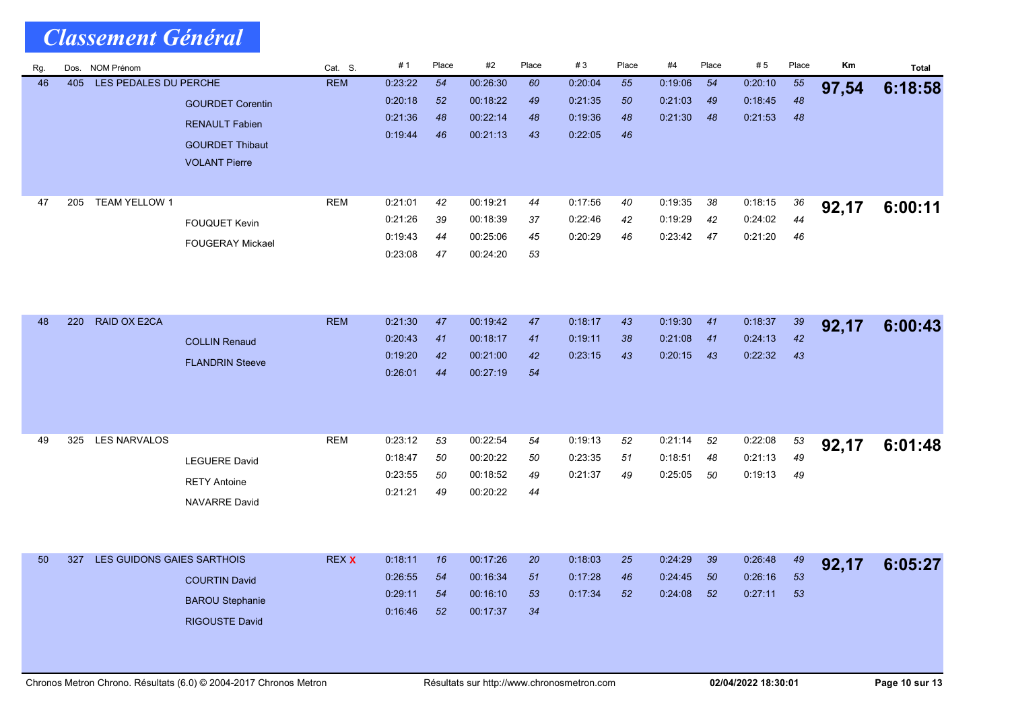| Rg. | Dos. | NOM Prénom                 |                         | Cat. S.      | #1                 | Place    | #2       | Place    | #3      | Place | #4      | Place | #5      | Place | Km    | <b>Total</b> |
|-----|------|----------------------------|-------------------------|--------------|--------------------|----------|----------|----------|---------|-------|---------|-------|---------|-------|-------|--------------|
| 46  | 405  | LES PEDALES DU PERCHE      |                         | <b>REM</b>   | 0:23:22            | 54       | 00:26:30 | 60       | 0:20:04 | 55    | 0.19:06 | 54    | 0:20:10 | 55    | 97,54 | 6:18:58      |
|     |      |                            | <b>GOURDET Corentin</b> |              | 0.20:18            | 52       | 00:18:22 | 49       | 0:21:35 | 50    | 0:21:03 | 49    | 0:18:45 | 48    |       |              |
|     |      |                            | <b>RENAULT Fabien</b>   |              | 0.21.36            | 48       | 00:22:14 | 48       | 0.19:36 | 48    | 0:21:30 | 48    | 0:21:53 | 48    |       |              |
|     |      |                            | <b>GOURDET Thibaut</b>  |              | 0:19:44            | 46       | 00:21:13 | 43       | 0:22:05 | 46    |         |       |         |       |       |              |
|     |      |                            | <b>VOLANT Pierre</b>    |              |                    |          |          |          |         |       |         |       |         |       |       |              |
|     |      |                            |                         |              |                    |          |          |          |         |       |         |       |         |       |       |              |
| 47  | 205  | <b>TEAM YELLOW 1</b>       |                         | <b>REM</b>   | 0.21:01            | 42       | 00:19:21 | 44       | 0:17:56 | 40    | 0:19:35 | 38    | 0:18:15 | 36    |       |              |
|     |      |                            |                         |              | 0:21:26            | 39       | 00:18:39 | 37       | 0:22:46 | 42    | 0:19:29 | 42    | 0:24:02 | 44    | 92,17 | 6:00:11      |
|     |      |                            | <b>FOUQUET Kevin</b>    |              | 0.19.43            | 44       | 00:25:06 | 45       | 0:20:29 | 46    | 0:23:42 | 47    | 0:21:20 | 46    |       |              |
|     |      |                            | <b>FOUGERAY Mickael</b> |              | 0.23:08            | 47       | 00:24:20 | 53       |         |       |         |       |         |       |       |              |
|     |      |                            |                         |              |                    |          |          |          |         |       |         |       |         |       |       |              |
|     |      |                            |                         |              |                    |          |          |          |         |       |         |       |         |       |       |              |
|     |      |                            |                         |              |                    |          |          |          |         |       |         |       |         |       |       |              |
| 48  | 220  | RAID OX E2CA               |                         | <b>REM</b>   | 0:21:30            | 47       | 00:19:42 | 47       | 0:18:17 | 43    | 0:19:30 | 41    | 0:18:37 | 39    | 92,17 | 6:00:43      |
|     |      |                            | <b>COLLIN Renaud</b>    |              | 0:20:43            | 41       | 00:18:17 | 41       | 0:19:11 | 38    | 0.21.08 | 41    | 0:24:13 | 42    |       |              |
|     |      |                            | <b>FLANDRIN Steeve</b>  |              | 0.19.20            | 42       | 00:21:00 | 42       | 0:23:15 | 43    | 0:20:15 | 43    | 0:22:32 | 43    |       |              |
|     |      |                            |                         |              | 0.26.01            | 44       | 00:27:19 | 54       |         |       |         |       |         |       |       |              |
|     |      |                            |                         |              |                    |          |          |          |         |       |         |       |         |       |       |              |
|     |      |                            |                         |              |                    |          |          |          |         |       |         |       |         |       |       |              |
|     |      |                            |                         |              |                    |          |          |          |         |       |         |       |         |       |       |              |
| 49  | 325  | <b>LES NARVALOS</b>        |                         | <b>REM</b>   | 0:23:12            | 53       | 00:22:54 | 54       | 0:19:13 | 52    | 0:21:14 | 52    | 0:22:08 | 53    | 92,17 | 6:01:48      |
|     |      |                            | <b>LEGUERE David</b>    |              | 0:18:47            | 50       | 00:20:22 | 50       | 0:23:35 | 51    | 0:18:51 | 48    | 0:21:13 | 49    |       |              |
|     |      |                            | <b>RETY Antoine</b>     |              | 0.23.55<br>0.21.21 | 50<br>49 | 00:18:52 | 49<br>44 | 0:21:37 | 49    | 0:25:05 | 50    | 0:19:13 | 49    |       |              |
|     |      |                            | <b>NAVARRE David</b>    |              |                    |          | 00:20:22 |          |         |       |         |       |         |       |       |              |
|     |      |                            |                         |              |                    |          |          |          |         |       |         |       |         |       |       |              |
|     |      |                            |                         |              |                    |          |          |          |         |       |         |       |         |       |       |              |
| 50  | 327  | LES GUIDONS GAIES SARTHOIS |                         | <b>REX X</b> | 0:18:11            | 16       | 00:17:26 | 20       | 0:18:03 | 25    | 0.24.29 | 39    | 0:26:48 | 49    | 92,17 | 6:05:27      |
|     |      |                            | <b>COURTIN David</b>    |              | 0.26:55            | 54       | 00:16:34 | 51       | 0:17:28 | 46    | 0:24:45 | 50    | 0:26:16 | 53    |       |              |
|     |      |                            |                         |              | 0.29:11            | 54       | 00:16:10 | 53       | 0:17:34 | 52    | 0.24.08 | 52    | 0.27.11 | 53    |       |              |
|     |      |                            | <b>BAROU Stephanie</b>  |              | 0:16:46            | 52       | 00:17:37 | 34       |         |       |         |       |         |       |       |              |
|     |      |                            | <b>RIGOUSTE David</b>   |              |                    |          |          |          |         |       |         |       |         |       |       |              |
|     |      |                            |                         |              |                    |          |          |          |         |       |         |       |         |       |       |              |
|     |      |                            |                         |              |                    |          |          |          |         |       |         |       |         |       |       |              |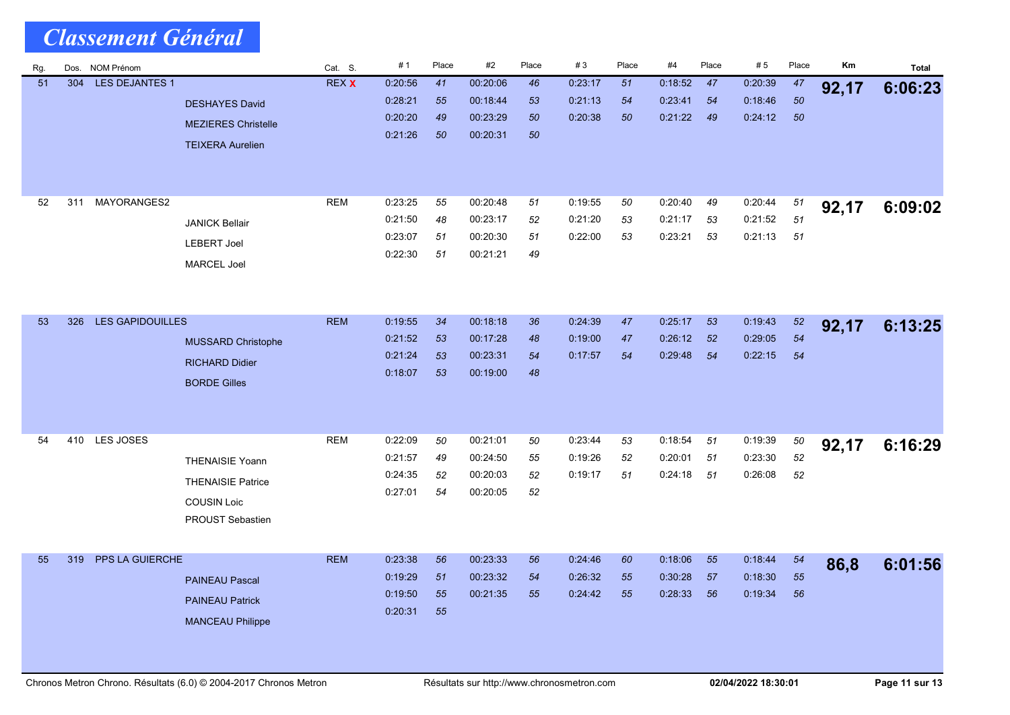| Rg. | Dos. | <b>NOM Prénom</b>       |                                                                                                     | Cat. S.      | #1                                       | Place                | #2                                           | Place                | #3                            | Place          | #4                            | Place          | # 5                           | Place              | Km    | <b>Total</b> |
|-----|------|-------------------------|-----------------------------------------------------------------------------------------------------|--------------|------------------------------------------|----------------------|----------------------------------------------|----------------------|-------------------------------|----------------|-------------------------------|----------------|-------------------------------|--------------------|-------|--------------|
| 51  | 304  | <b>LES DEJANTES 1</b>   | <b>DESHAYES David</b><br><b>MEZIERES Christelle</b><br><b>TEIXERA Aurelien</b>                      | <b>REX X</b> | 0:20:56<br>0:28:21<br>0:20:20<br>0:21:26 | 41<br>55<br>49<br>50 | 00:20:06<br>00:18:44<br>00:23:29<br>00:20:31 | 46<br>53<br>50<br>50 | 0 23 17<br>0.21.13<br>0:20:38 | 51<br>54<br>50 | 0:18:52<br>0.23.41<br>0:21:22 | 47<br>54<br>49 | 0.20.39<br>0:18:46<br>0:24:12 | 47<br>50<br>50     | 92,17 | 6:06:23      |
| 52  | 311  | MAYORANGES2             | <b>JANICK Bellair</b><br><b>LEBERT Joel</b><br><b>MARCEL Joel</b>                                   | <b>REM</b>   | 0:23:25<br>0:21:50<br>0:23:07<br>0.22:30 | 55<br>48<br>51<br>51 | 00:20:48<br>00:23:17<br>00:20:30<br>00:21:21 | 51<br>52<br>51<br>49 | 0:19:55<br>0.21:20<br>0:22:00 | 50<br>53<br>53 | 0:20:40<br>0:21:17<br>0.23.21 | 49<br>53<br>53 | 0:20:44<br>0:21:52<br>0:21:13 | 51<br>51<br>51     | 92,17 | 6:09:02      |
| 53  | 326  | <b>LES GAPIDOUILLES</b> | <b>MUSSARD Christophe</b><br><b>RICHARD Didier</b><br><b>BORDE Gilles</b>                           | <b>REM</b>   | 0:19:55<br>0:21:52<br>0:21:24<br>0:18:07 | 34<br>53<br>53<br>53 | 00:18:18<br>00:17:28<br>00:23:31<br>00:19:00 | 36<br>48<br>54<br>48 | 0.24.39<br>0.19:00<br>0:17:57 | 47<br>47<br>54 | 0:25:17<br>0:26:12<br>0:29:48 | 53<br>52<br>54 | 0:19:43<br>0:29:05<br>0:22:15 | $52\,$<br>54<br>54 | 92,17 | 6:13:25      |
| 54  |      | 410 LES JOSES           | <b>THENAISIE Yoann</b><br><b>THENAISIE Patrice</b><br><b>COUSIN Loic</b><br><b>PROUST Sebastien</b> | <b>REM</b>   | 0.22:09<br>0:21:57<br>0:24:35<br>0.27:01 | 50<br>49<br>52<br>54 | 00:21:01<br>00:24:50<br>00:20:03<br>00:20:05 | 50<br>55<br>52<br>52 | 0:23:44<br>0:19:26<br>0:19:17 | 53<br>52<br>51 | 0:18:54<br>0:20:01<br>0.24.18 | 51<br>51<br>51 | 0:19:39<br>0:23:30<br>0:26:08 | 50<br>52<br>52     | 92,17 | 6:16:29      |
| 55  | 319  | <b>PPS LA GUIERCHE</b>  | <b>PAINEAU Pascal</b><br><b>PAINEAU Patrick</b><br><b>MANCEAU Philippe</b>                          | <b>REM</b>   | 0.23.38<br>0.19.29<br>0.19.50<br>0:20:31 | 56<br>51<br>55<br>55 | 00:23:33<br>00:23:32<br>00:21:35             | 56<br>54<br>55       | 0.24.46<br>0.26.32<br>0.24.42 | 60<br>55<br>55 | 0.18.06<br>0:30:28<br>0:28:33 | 55<br>57<br>56 | 0.18.44<br>0.18.30<br>0:19:34 | 54<br>55<br>56     | 86,8  | 6:01:56      |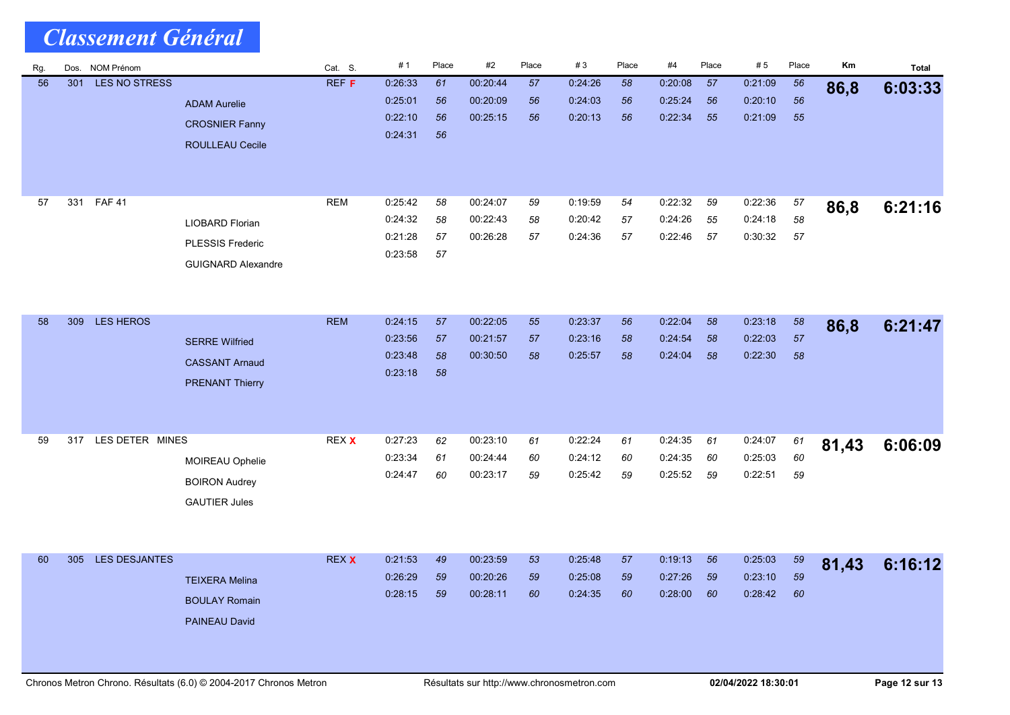| <b>Classement Général</b> |     |                  |                                                                                |              |                                          |                      |                                  |                |                               |                |                               |                |                               |                    |       |         |
|---------------------------|-----|------------------|--------------------------------------------------------------------------------|--------------|------------------------------------------|----------------------|----------------------------------|----------------|-------------------------------|----------------|-------------------------------|----------------|-------------------------------|--------------------|-------|---------|
| Rg.                       |     | Dos. NOM Prénom  |                                                                                | Cat. S.      | #1                                       | Place                | #2                               | Place          | #3                            | Place          | #4                            | Place          | #5                            | Place              | Km    | Total   |
| 56                        | 301 | LES NO STRESS    | <b>ADAM Aurelie</b><br><b>CROSNIER Fanny</b><br><b>ROULLEAU Cecile</b>         | <b>REF F</b> | 0.26.33<br>0.25:01<br>0:22:10<br>0.24.31 | 61<br>56<br>56<br>56 | 00:20:44<br>00:20:09<br>00:25:15 | 57<br>56<br>56 | 0 24 26<br>0.24.03<br>0.20.13 | 58<br>56<br>56 | 0:20:08<br>0.25.24<br>0:22:34 | 57<br>56<br>55 | 0:21:09<br>0.20.10<br>0.21:09 | 56<br>56<br>55     | 86,8  | 6:03:33 |
| 57                        | 331 | <b>FAF 41</b>    | <b>LIOBARD Florian</b><br><b>PLESSIS Frederic</b><br><b>GUIGNARD Alexandre</b> | <b>REM</b>   | 0:25:42<br>0:24:32<br>0:21:28<br>0:23:58 | 58<br>58<br>57<br>57 | 00:24:07<br>00:22:43<br>00:26:28 | 59<br>58<br>57 | 0:19:59<br>0.20.42<br>0:24:36 | 54<br>57<br>57 | 0:22:32<br>0.24:26<br>0:22:46 | 59<br>55<br>57 | 0:22:36<br>0.24:18<br>0:30:32 | 57<br>58<br>57     | 86,8  | 6:21:16 |
| 58                        | 309 | <b>LES HEROS</b> | <b>SERRE Wilfried</b><br><b>CASSANT Arnaud</b><br><b>PRENANT Thierry</b>       | <b>REM</b>   | 0:24:15<br>0.23.56<br>0.23:48<br>0.23.18 | 57<br>57<br>58<br>58 | 00:22:05<br>00:21:57<br>00:30:50 | 55<br>57<br>58 | 0.23:37<br>0.23.16<br>0.25:57 | 56<br>58<br>58 | 0.22:04<br>0.24.54<br>0.24:04 | 58<br>58<br>58 | 0:23:18<br>0.22.03<br>0:22:30 | $58\,$<br>57<br>58 | 86,8  | 6:21:47 |
| 59                        | 317 | LES DETER MINES  | MOIREAU Ophelie<br><b>BOIRON Audrey</b><br><b>GAUTIER Jules</b>                | REX X        | 0:27:23<br>0:23:34<br>0.24.47            | 62<br>61<br>60       | 00:23:10<br>00:24:44<br>00:23:17 | 61<br>60<br>59 | 0.22:24<br>0:24:12<br>0:25:42 | 61<br>60<br>59 | 0:24:35<br>0:24:35<br>0:25:52 | 61<br>60<br>59 | 0:24:07<br>0:25:03<br>0.22.51 | 61<br>60<br>59     | 81,43 | 6:06:09 |
| 60                        | 305 | LES DESJANTES    | <b>TEIXERA Melina</b><br><b>BOULAY Romain</b><br>PAINEAU David                 | <b>REX X</b> | 0:21:53<br>0:26:29<br>0:28:15            | 49<br>59<br>59       | 00:23:59<br>00:20:26<br>00:28:11 | 53<br>59<br>60 | 0:25:48<br>0:25:08<br>0:24:35 | 57<br>59<br>60 | 0:19:13<br>0:27:26<br>0:28:00 | 56<br>59<br>60 | 0:25:03<br>0:23:10<br>0.28.42 | 59<br>59<br>60     | 81,43 | 6:16:12 |